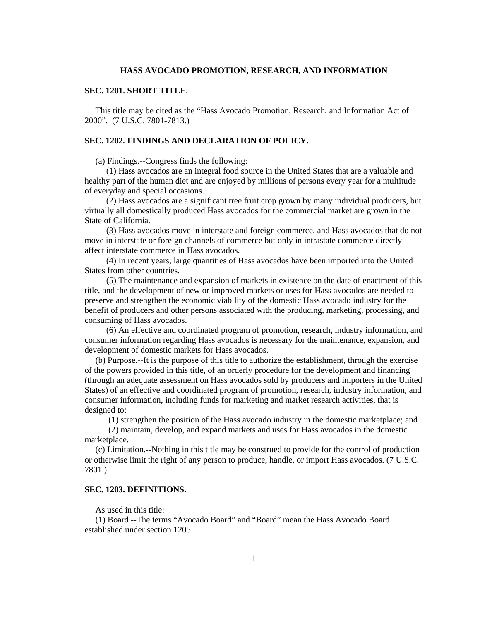### **HASS AVOCADO PROMOTION, RESEARCH, AND INFORMATION**

## **SEC. 1201. SHORT TITLE.**

 This title may be cited as the "Hass Avocado Promotion, Research, and Information Act of 2000". (7 U.S.C. 7801-7813.)

### **SEC. 1202. FINDINGS AND DECLARATION OF POLICY.**

(a) Findings.--Congress finds the following:

 (1) Hass avocados are an integral food source in the United States that are a valuable and healthy part of the human diet and are enjoyed by millions of persons every year for a multitude of everyday and special occasions.

 (2) Hass avocados are a significant tree fruit crop grown by many individual producers, but virtually all domestically produced Hass avocados for the commercial market are grown in the State of California.

 (3) Hass avocados move in interstate and foreign commerce, and Hass avocados that do not move in interstate or foreign channels of commerce but only in intrastate commerce directly affect interstate commerce in Hass avocados.

 (4) In recent years, large quantities of Hass avocados have been imported into the United States from other countries.

 (5) The maintenance and expansion of markets in existence on the date of enactment of this title, and the development of new or improved markets or uses for Hass avocados are needed to preserve and strengthen the economic viability of the domestic Hass avocado industry for the benefit of producers and other persons associated with the producing, marketing, processing, and consuming of Hass avocados.

 (6) An effective and coordinated program of promotion, research, industry information, and consumer information regarding Hass avocados is necessary for the maintenance, expansion, and development of domestic markets for Hass avocados.

 (b) Purpose.--It is the purpose of this title to authorize the establishment, through the exercise of the powers provided in this title, of an orderly procedure for the development and financing (through an adequate assessment on Hass avocados sold by producers and importers in the United States) of an effective and coordinated program of promotion, research, industry information, and consumer information, including funds for marketing and market research activities, that is designed to:

(1) strengthen the position of the Hass avocado industry in the domestic marketplace; and

 (2) maintain, develop, and expand markets and uses for Hass avocados in the domestic marketplace.

 (c) Limitation.--Nothing in this title may be construed to provide for the control of production or otherwise limit the right of any person to produce, handle, or import Hass avocados. (7 U.S.C. 7801.)

### **SEC. 1203. DEFINITIONS.**

As used in this title:

 (1) Board.--The terms "Avocado Board" and "Board" mean the Hass Avocado Board established under section 1205.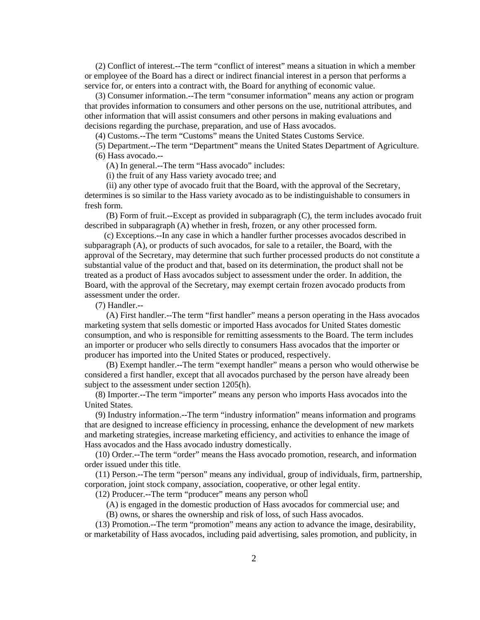(2) Conflict of interest.--The term "conflict of interest" means a situation in which a member or employee of the Board has a direct or indirect financial interest in a person that performs a service for, or enters into a contract with, the Board for anything of economic value.

 (3) Consumer information.--The term "consumer information" means any action or program that provides information to consumers and other persons on the use, nutritional attributes, and other information that will assist consumers and other persons in making evaluations and decisions regarding the purchase, preparation, and use of Hass avocados.

(4) Customs.--The term "Customs" means the United States Customs Service.

 (5) Department.--The term "Department" means the United States Department of Agriculture. (6) Hass avocado.--

(A) In general.--The term "Hass avocado" includes:

(i) the fruit of any Hass variety avocado tree; and

 (ii) any other type of avocado fruit that the Board, with the approval of the Secretary, determines is so similar to the Hass variety avocado as to be indistinguishable to consumers in fresh form.

 (B) Form of fruit.--Except as provided in subparagraph (C), the term includes avocado fruit described in subparagraph (A) whether in fresh, frozen, or any other processed form.

 (c) Exceptions.--In any case in which a handler further processes avocados described in subparagraph (A), or products of such avocados, for sale to a retailer, the Board, with the approval of the Secretary, may determine that such further processed products do not constitute a substantial value of the product and that, based on its determination, the product shall not be treated as a product of Hass avocados subject to assessment under the order. In addition, the Board, with the approval of the Secretary, may exempt certain frozen avocado products from assessment under the order.

(7) Handler.--

 (A) First handler.--The term "first handler" means a person operating in the Hass avocados marketing system that sells domestic or imported Hass avocados for United States domestic consumption, and who is responsible for remitting assessments to the Board. The term includes an importer or producer who sells directly to consumers Hass avocados that the importer or producer has imported into the United States or produced, respectively.

 (B) Exempt handler.--The term "exempt handler" means a person who would otherwise be considered a first handler, except that all avocados purchased by the person have already been subject to the assessment under section 1205(h).

 (8) Importer.--The term "importer" means any person who imports Hass avocados into the United States.

 (9) Industry information.--The term "industry information" means information and programs that are designed to increase efficiency in processing, enhance the development of new markets and marketing strategies, increase marketing efficiency, and activities to enhance the image of Hass avocados and the Hass avocado industry domestically.

 (10) Order.--The term "order" means the Hass avocado promotion, research, and information order issued under this title.

 (11) Person.--The term "person" means any individual, group of individuals, firm, partnership, corporation, joint stock company, association, cooperative, or other legal entity.

(12) Producer.--The term "producer" means any person who  $\Box$ 

(A) is engaged in the domestic production of Hass avocados for commercial use; and

(B) owns, or shares the ownership and risk of loss, of such Hass avocados.

 (13) Promotion.--The term "promotion" means any action to advance the image, desirability, or marketability of Hass avocados, including paid advertising, sales promotion, and publicity, in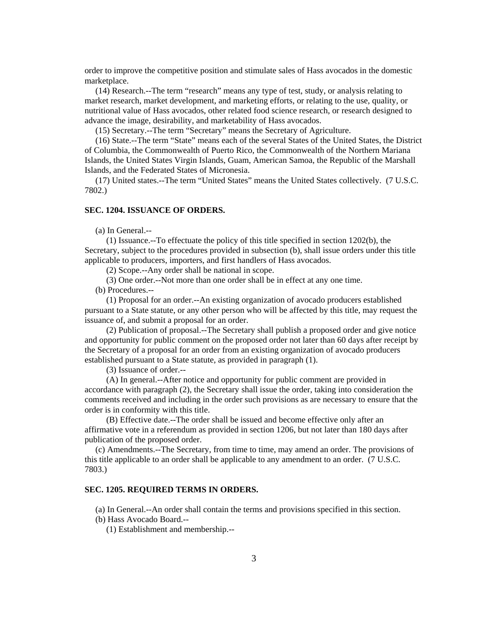order to improve the competitive position and stimulate sales of Hass avocados in the domestic marketplace.

 (14) Research.--The term "research" means any type of test, study, or analysis relating to market research, market development, and marketing efforts, or relating to the use, quality, or nutritional value of Hass avocados, other related food science research, or research designed to advance the image, desirability, and marketability of Hass avocados.

(15) Secretary.--The term "Secretary" means the Secretary of Agriculture.

 (16) State.--The term "State" means each of the several States of the United States, the District of Columbia, the Commonwealth of Puerto Rico, the Commonwealth of the Northern Mariana Islands, the United States Virgin Islands, Guam, American Samoa, the Republic of the Marshall Islands, and the Federated States of Micronesia.

 (17) United states.--The term "United States" means the United States collectively. (7 U.S.C. 7802.)

#### **SEC. 1204. ISSUANCE OF ORDERS.**

(a) In General.--

 (1) Issuance.--To effectuate the policy of this title specified in section 1202(b), the Secretary, subject to the procedures provided in subsection (b), shall issue orders under this title applicable to producers, importers, and first handlers of Hass avocados.

(2) Scope.--Any order shall be national in scope.

(3) One order.--Not more than one order shall be in effect at any one time.

(b) Procedures.--

 (1) Proposal for an order.--An existing organization of avocado producers established pursuant to a State statute, or any other person who will be affected by this title, may request the issuance of, and submit a proposal for an order.

 (2) Publication of proposal.--The Secretary shall publish a proposed order and give notice and opportunity for public comment on the proposed order not later than 60 days after receipt by the Secretary of a proposal for an order from an existing organization of avocado producers established pursuant to a State statute, as provided in paragraph (1).

(3) Issuance of order.--

 (A) In general.--After notice and opportunity for public comment are provided in accordance with paragraph (2), the Secretary shall issue the order, taking into consideration the comments received and including in the order such provisions as are necessary to ensure that the order is in conformity with this title.

 (B) Effective date.--The order shall be issued and become effective only after an affirmative vote in a referendum as provided in section 1206, but not later than 180 days after publication of the proposed order.

 (c) Amendments.--The Secretary, from time to time, may amend an order. The provisions of this title applicable to an order shall be applicable to any amendment to an order. (7 U.S.C. 7803.)

### **SEC. 1205. REQUIRED TERMS IN ORDERS.**

(a) In General.--An order shall contain the terms and provisions specified in this section.

(b) Hass Avocado Board.--

(1) Establishment and membership.--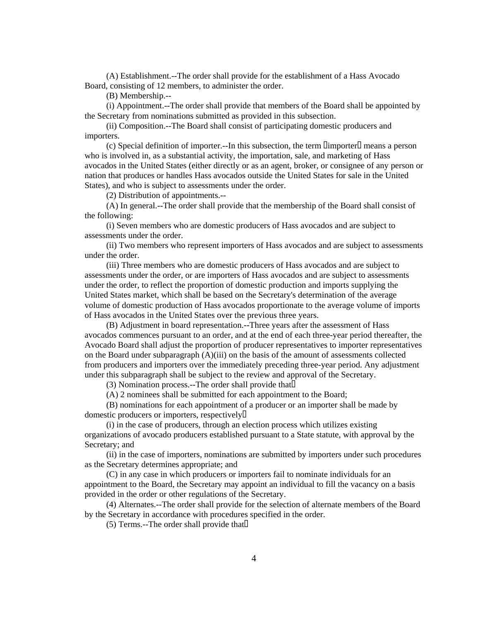(A) Establishment.--The order shall provide for the establishment of a Hass Avocado Board, consisting of 12 members, to administer the order.

(B) Membership.--

 (i) Appointment.--The order shall provide that members of the Board shall be appointed by the Secretary from nominations submitted as provided in this subsection.

 (ii) Composition.--The Board shall consist of participating domestic producers and importers.

(c) Special definition of importer.--In this subsection, the term  $\Box$  importer  $\Box$  means a person who is involved in, as a substantial activity, the importation, sale, and marketing of Hass avocados in the United States (either directly or as an agent, broker, or consignee of any person or nation that produces or handles Hass avocados outside the United States for sale in the United States), and who is subject to assessments under the order.

(2) Distribution of appointments.--

 (A) In general.--The order shall provide that the membership of the Board shall consist of the following:

 (i) Seven members who are domestic producers of Hass avocados and are subject to assessments under the order.

 (ii) Two members who represent importers of Hass avocados and are subject to assessments under the order.

 (iii) Three members who are domestic producers of Hass avocados and are subject to assessments under the order, or are importers of Hass avocados and are subject to assessments under the order, to reflect the proportion of domestic production and imports supplying the United States market, which shall be based on the Secretary's determination of the average volume of domestic production of Hass avocados proportionate to the average volume of imports of Hass avocados in the United States over the previous three years.

 (B) Adjustment in board representation.--Three years after the assessment of Hass avocados commences pursuant to an order, and at the end of each three-year period thereafter, the Avocado Board shall adjust the proportion of producer representatives to importer representatives on the Board under subparagraph (A)(iii) on the basis of the amount of assessments collected from producers and importers over the immediately preceding three-year period. Any adjustment under this subparagraph shall be subject to the review and approval of the Secretary.

(3) Nomination process.--The order shall provide that

(A) 2 nominees shall be submitted for each appointment to the Board;

 (B) nominations for each appointment of a producer or an importer shall be made by domestic producers or importers, respectively

 (i) in the case of producers, through an election process which utilizes existing organizations of avocado producers established pursuant to a State statute, with approval by the Secretary; and

 (ii) in the case of importers, nominations are submitted by importers under such procedures as the Secretary determines appropriate; and

 (C) in any case in which producers or importers fail to nominate individuals for an appointment to the Board, the Secretary may appoint an individual to fill the vacancy on a basis provided in the order or other regulations of the Secretary.

 (4) Alternates.--The order shall provide for the selection of alternate members of the Board by the Secretary in accordance with procedures specified in the order.

 $(5)$  Terms.--The order shall provide that  $\Box$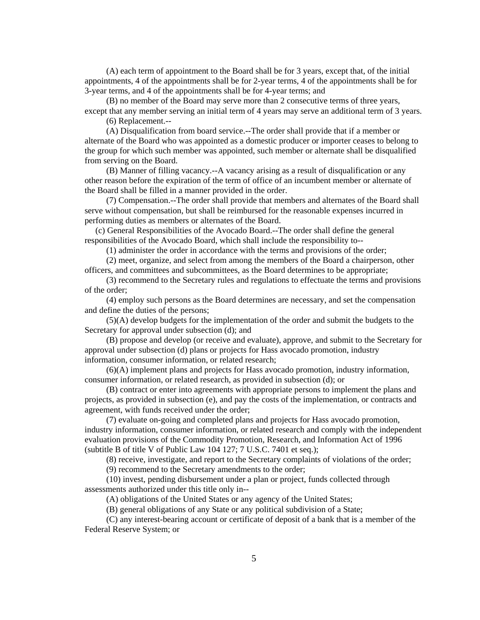(A) each term of appointment to the Board shall be for 3 years, except that, of the initial appointments, 4 of the appointments shall be for 2-year terms, 4 of the appointments shall be for 3-year terms, and 4 of the appointments shall be for 4-year terms; and

 (B) no member of the Board may serve more than 2 consecutive terms of three years, except that any member serving an initial term of 4 years may serve an additional term of 3 years.

(6) Replacement.--

 (A) Disqualification from board service.--The order shall provide that if a member or alternate of the Board who was appointed as a domestic producer or importer ceases to belong to the group for which such member was appointed, such member or alternate shall be disqualified from serving on the Board.

 (B) Manner of filling vacancy.--A vacancy arising as a result of disqualification or any other reason before the expiration of the term of office of an incumbent member or alternate of the Board shall be filled in a manner provided in the order.

 (7) Compensation.--The order shall provide that members and alternates of the Board shall serve without compensation, but shall be reimbursed for the reasonable expenses incurred in performing duties as members or alternates of the Board.

 (c) General Responsibilities of the Avocado Board.--The order shall define the general responsibilities of the Avocado Board, which shall include the responsibility to--

(1) administer the order in accordance with the terms and provisions of the order;

 (2) meet, organize, and select from among the members of the Board a chairperson, other officers, and committees and subcommittees, as the Board determines to be appropriate;

 (3) recommend to the Secretary rules and regulations to effectuate the terms and provisions of the order;

 (4) employ such persons as the Board determines are necessary, and set the compensation and define the duties of the persons;

 (5)(A) develop budgets for the implementation of the order and submit the budgets to the Secretary for approval under subsection (d); and

 (B) propose and develop (or receive and evaluate), approve, and submit to the Secretary for approval under subsection (d) plans or projects for Hass avocado promotion, industry information, consumer information, or related research;

 (6)(A) implement plans and projects for Hass avocado promotion, industry information, consumer information, or related research, as provided in subsection (d); or

 (B) contract or enter into agreements with appropriate persons to implement the plans and projects, as provided in subsection (e), and pay the costs of the implementation, or contracts and agreement, with funds received under the order;

 (7) evaluate on-going and completed plans and projects for Hass avocado promotion, industry information, consumer information, or related research and comply with the independent evaluation provisions of the Commodity Promotion, Research, and Information Act of 1996 (subtitle B of title V of Public Law 104 127; 7 U.S.C. 7401 et seq.);

(8) receive, investigate, and report to the Secretary complaints of violations of the order;

(9) recommend to the Secretary amendments to the order;

 (10) invest, pending disbursement under a plan or project, funds collected through assessments authorized under this title only in--

(A) obligations of the United States or any agency of the United States;

(B) general obligations of any State or any political subdivision of a State;

 (C) any interest-bearing account or certificate of deposit of a bank that is a member of the Federal Reserve System; or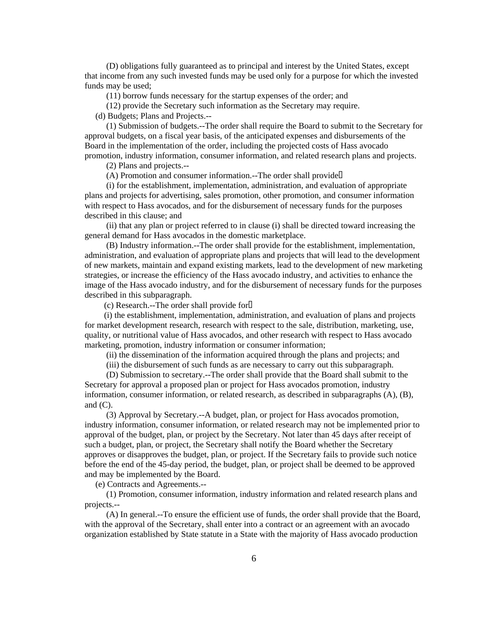(D) obligations fully guaranteed as to principal and interest by the United States, except that income from any such invested funds may be used only for a purpose for which the invested funds may be used;

(11) borrow funds necessary for the startup expenses of the order; and

(12) provide the Secretary such information as the Secretary may require.

(d) Budgets; Plans and Projects.--

 (1) Submission of budgets.--The order shall require the Board to submit to the Secretary for approval budgets, on a fiscal year basis, of the anticipated expenses and disbursements of the Board in the implementation of the order, including the projected costs of Hass avocado promotion, industry information, consumer information, and related research plans and projects.

(2) Plans and projects.--

 $(A)$  Promotion and consumer information.--The order shall provide

 (i) for the establishment, implementation, administration, and evaluation of appropriate plans and projects for advertising, sales promotion, other promotion, and consumer information with respect to Hass avocados, and for the disbursement of necessary funds for the purposes described in this clause; and

 (ii) that any plan or project referred to in clause (i) shall be directed toward increasing the general demand for Hass avocados in the domestic marketplace.

 (B) Industry information.--The order shall provide for the establishment, implementation, administration, and evaluation of appropriate plans and projects that will lead to the development of new markets, maintain and expand existing markets, lead to the development of new marketing strategies, or increase the efficiency of the Hass avocado industry, and activities to enhance the image of the Hass avocado industry, and for the disbursement of necessary funds for the purposes described in this subparagraph.

(c) Research.--The order shall provide for

 (i) the establishment, implementation, administration, and evaluation of plans and projects for market development research, research with respect to the sale, distribution, marketing, use, quality, or nutritional value of Hass avocados, and other research with respect to Hass avocado marketing, promotion, industry information or consumer information;

(ii) the dissemination of the information acquired through the plans and projects; and

(iii) the disbursement of such funds as are necessary to carry out this subparagraph.

 (D) Submission to secretary.--The order shall provide that the Board shall submit to the Secretary for approval a proposed plan or project for Hass avocados promotion, industry information, consumer information, or related research, as described in subparagraphs (A), (B), and  $(C)$ .

 (3) Approval by Secretary.--A budget, plan, or project for Hass avocados promotion, industry information, consumer information, or related research may not be implemented prior to approval of the budget, plan, or project by the Secretary. Not later than 45 days after receipt of such a budget, plan, or project, the Secretary shall notify the Board whether the Secretary approves or disapproves the budget, plan, or project. If the Secretary fails to provide such notice before the end of the 45-day period, the budget, plan, or project shall be deemed to be approved and may be implemented by the Board.

(e) Contracts and Agreements.--

 (1) Promotion, consumer information, industry information and related research plans and projects.--

 (A) In general.--To ensure the efficient use of funds, the order shall provide that the Board, with the approval of the Secretary, shall enter into a contract or an agreement with an avocado organization established by State statute in a State with the majority of Hass avocado production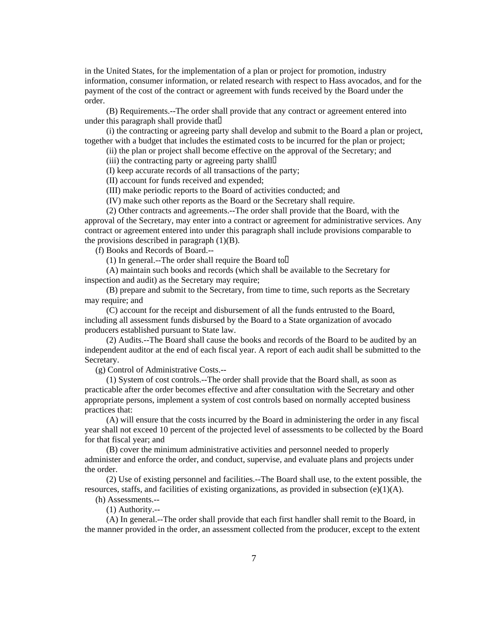in the United States, for the implementation of a plan or project for promotion, industry information, consumer information, or related research with respect to Hass avocados, and for the payment of the cost of the contract or agreement with funds received by the Board under the order.

 (B) Requirements.--The order shall provide that any contract or agreement entered into under this paragraph shall provide that

 (i) the contracting or agreeing party shall develop and submit to the Board a plan or project, together with a budget that includes the estimated costs to be incurred for the plan or project;

(ii) the plan or project shall become effective on the approval of the Secretary; and

(iii) the contracting party or agreeing party shall

(I) keep accurate records of all transactions of the party;

(II) account for funds received and expended;

(III) make periodic reports to the Board of activities conducted; and

(IV) make such other reports as the Board or the Secretary shall require.

 (2) Other contracts and agreements.--The order shall provide that the Board, with the approval of the Secretary, may enter into a contract or agreement for administrative services. Any contract or agreement entered into under this paragraph shall include provisions comparable to the provisions described in paragraph  $(1)(B)$ .

(f) Books and Records of Board.--

(1) In general.--The order shall require the Board to  $\Box$ 

 (A) maintain such books and records (which shall be available to the Secretary for inspection and audit) as the Secretary may require;

 (B) prepare and submit to the Secretary, from time to time, such reports as the Secretary may require; and

 (C) account for the receipt and disbursement of all the funds entrusted to the Board, including all assessment funds disbursed by the Board to a State organization of avocado producers established pursuant to State law.

 (2) Audits.--The Board shall cause the books and records of the Board to be audited by an independent auditor at the end of each fiscal year. A report of each audit shall be submitted to the Secretary.

(g) Control of Administrative Costs.--

 (1) System of cost controls.--The order shall provide that the Board shall, as soon as practicable after the order becomes effective and after consultation with the Secretary and other appropriate persons, implement a system of cost controls based on normally accepted business practices that:

 (A) will ensure that the costs incurred by the Board in administering the order in any fiscal year shall not exceed 10 percent of the projected level of assessments to be collected by the Board for that fiscal year; and

 (B) cover the minimum administrative activities and personnel needed to properly administer and enforce the order, and conduct, supervise, and evaluate plans and projects under the order.

 (2) Use of existing personnel and facilities.--The Board shall use, to the extent possible, the resources, staffs, and facilities of existing organizations, as provided in subsection (e)(1)(A).

(h) Assessments.--

(1) Authority.--

 (A) In general.--The order shall provide that each first handler shall remit to the Board, in the manner provided in the order, an assessment collected from the producer, except to the extent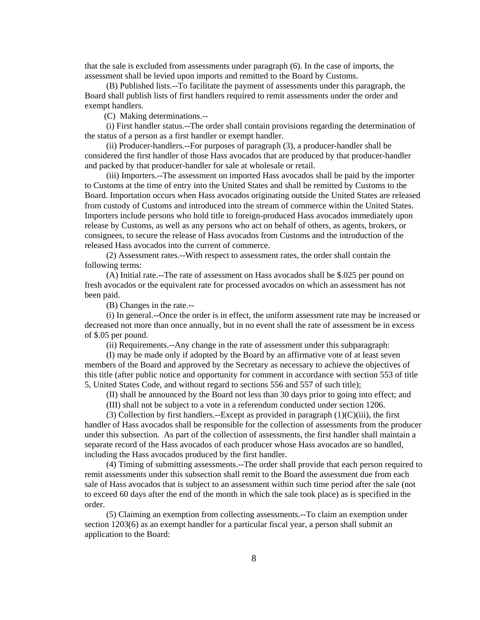that the sale is excluded from assessments under paragraph (6). In the case of imports, the assessment shall be levied upon imports and remitted to the Board by Customs.

 (B) Published lists.--To facilitate the payment of assessments under this paragraph, the Board shall publish lists of first handlers required to remit assessments under the order and exempt handlers.

(C) Making determinations.--

 (i) First handler status.--The order shall contain provisions regarding the determination of the status of a person as a first handler or exempt handler.

 (ii) Producer-handlers.--For purposes of paragraph (3), a producer-handler shall be considered the first handler of those Hass avocados that are produced by that producer-handler and packed by that producer-handler for sale at wholesale or retail.

 (iii) Importers.--The assessment on imported Hass avocados shall be paid by the importer to Customs at the time of entry into the United States and shall be remitted by Customs to the Board. Importation occurs when Hass avocados originating outside the United States are released from custody of Customs and introduced into the stream of commerce within the United States. Importers include persons who hold title to foreign-produced Hass avocados immediately upon release by Customs, as well as any persons who act on behalf of others, as agents, brokers, or consignees, to secure the release of Hass avocados from Customs and the introduction of the released Hass avocados into the current of commerce.

 (2) Assessment rates.--With respect to assessment rates, the order shall contain the following terms:

 (A) Initial rate.--The rate of assessment on Hass avocados shall be \$.025 per pound on fresh avocados or the equivalent rate for processed avocados on which an assessment has not been paid.

(B) Changes in the rate.--

 (i) In general.--Once the order is in effect, the uniform assessment rate may be increased or decreased not more than once annually, but in no event shall the rate of assessment be in excess of \$.05 per pound.

(ii) Requirements.--Any change in the rate of assessment under this subparagraph:

 (I) may be made only if adopted by the Board by an affirmative vote of at least seven members of the Board and approved by the Secretary as necessary to achieve the objectives of this title (after public notice and opportunity for comment in accordance with section 553 of title 5, United States Code, and without regard to sections 556 and 557 of such title);

(II) shall be announced by the Board not less than 30 days prior to going into effect; and

(III) shall not be subject to a vote in a referendum conducted under section 1206.

(3) Collection by first handlers.--Except as provided in paragraph  $(1)(C)(iii)$ , the first handler of Hass avocados shall be responsible for the collection of assessments from the producer under this subsection. As part of the collection of assessments, the first handler shall maintain a separate record of the Hass avocados of each producer whose Hass avocados are so handled, including the Hass avocados produced by the first handler.

 (4) Timing of submitting assessments.--The order shall provide that each person required to remit assessments under this subsection shall remit to the Board the assessment due from each sale of Hass avocados that is subject to an assessment within such time period after the sale (not to exceed 60 days after the end of the month in which the sale took place) as is specified in the order.

 (5) Claiming an exemption from collecting assessments.--To claim an exemption under section 1203(6) as an exempt handler for a particular fiscal year, a person shall submit an application to the Board: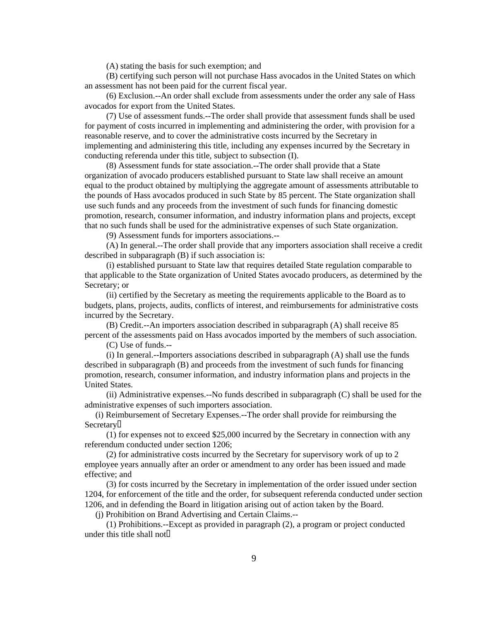(A) stating the basis for such exemption; and

 (B) certifying such person will not purchase Hass avocados in the United States on which an assessment has not been paid for the current fiscal year.

 (6) Exclusion.--An order shall exclude from assessments under the order any sale of Hass avocados for export from the United States.

 (7) Use of assessment funds.--The order shall provide that assessment funds shall be used for payment of costs incurred in implementing and administering the order, with provision for a reasonable reserve, and to cover the administrative costs incurred by the Secretary in implementing and administering this title, including any expenses incurred by the Secretary in conducting referenda under this title, subject to subsection (I).

 (8) Assessment funds for state association.--The order shall provide that a State organization of avocado producers established pursuant to State law shall receive an amount equal to the product obtained by multiplying the aggregate amount of assessments attributable to the pounds of Hass avocados produced in such State by 85 percent. The State organization shall use such funds and any proceeds from the investment of such funds for financing domestic promotion, research, consumer information, and industry information plans and projects, except that no such funds shall be used for the administrative expenses of such State organization.

(9) Assessment funds for importers associations.--

 (A) In general.--The order shall provide that any importers association shall receive a credit described in subparagraph (B) if such association is:

 (i) established pursuant to State law that requires detailed State regulation comparable to that applicable to the State organization of United States avocado producers, as determined by the Secretary; or

 (ii) certified by the Secretary as meeting the requirements applicable to the Board as to budgets, plans, projects, audits, conflicts of interest, and reimbursements for administrative costs incurred by the Secretary.

 (B) Credit.--An importers association described in subparagraph (A) shall receive 85 percent of the assessments paid on Hass avocados imported by the members of such association.

(C) Use of funds.--

 (i) In general.--Importers associations described in subparagraph (A) shall use the funds described in subparagraph (B) and proceeds from the investment of such funds for financing promotion, research, consumer information, and industry information plans and projects in the United States.

 (ii) Administrative expenses.--No funds described in subparagraph (C) shall be used for the administrative expenses of such importers association.

 (i) Reimbursement of Secretary Expenses.--The order shall provide for reimbursing the **Secretary**<sup>[]</sup>

 (1) for expenses not to exceed \$25,000 incurred by the Secretary in connection with any referendum conducted under section 1206;

 (2) for administrative costs incurred by the Secretary for supervisory work of up to 2 employee years annually after an order or amendment to any order has been issued and made effective; and

 (3) for costs incurred by the Secretary in implementation of the order issued under section 1204, for enforcement of the title and the order, for subsequent referenda conducted under section 1206, and in defending the Board in litigation arising out of action taken by the Board.

(j) Prohibition on Brand Advertising and Certain Claims.--

 (1) Prohibitions.--Except as provided in paragraph (2), a program or project conducted under this title shall not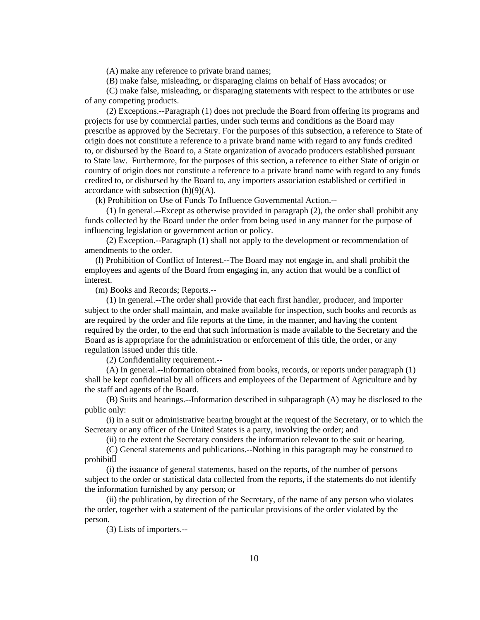(A) make any reference to private brand names;

(B) make false, misleading, or disparaging claims on behalf of Hass avocados; or

 (C) make false, misleading, or disparaging statements with respect to the attributes or use of any competing products.

 (2) Exceptions.--Paragraph (1) does not preclude the Board from offering its programs and projects for use by commercial parties, under such terms and conditions as the Board may prescribe as approved by the Secretary. For the purposes of this subsection, a reference to State of origin does not constitute a reference to a private brand name with regard to any funds credited to, or disbursed by the Board to, a State organization of avocado producers established pursuant to State law. Furthermore, for the purposes of this section, a reference to either State of origin or country of origin does not constitute a reference to a private brand name with regard to any funds credited to, or disbursed by the Board to, any importers association established or certified in accordance with subsection (h)(9)(A).

(k) Prohibition on Use of Funds To Influence Governmental Action.--

 (1) In general.--Except as otherwise provided in paragraph (2), the order shall prohibit any funds collected by the Board under the order from being used in any manner for the purpose of influencing legislation or government action or policy.

 (2) Exception.--Paragraph (1) shall not apply to the development or recommendation of amendments to the order.

 (l) Prohibition of Conflict of Interest.--The Board may not engage in, and shall prohibit the employees and agents of the Board from engaging in, any action that would be a conflict of interest.

(m) Books and Records; Reports.--

 (1) In general.--The order shall provide that each first handler, producer, and importer subject to the order shall maintain, and make available for inspection, such books and records as are required by the order and file reports at the time, in the manner, and having the content required by the order, to the end that such information is made available to the Secretary and the Board as is appropriate for the administration or enforcement of this title, the order, or any regulation issued under this title.

(2) Confidentiality requirement.--

 (A) In general.--Information obtained from books, records, or reports under paragraph (1) shall be kept confidential by all officers and employees of the Department of Agriculture and by the staff and agents of the Board.

 (B) Suits and hearings.--Information described in subparagraph (A) may be disclosed to the public only:

 (i) in a suit or administrative hearing brought at the request of the Secretary, or to which the Secretary or any officer of the United States is a party, involving the order; and

(ii) to the extent the Secretary considers the information relevant to the suit or hearing.

 (C) General statements and publications.--Nothing in this paragraph may be construed to prohibit

 (i) the issuance of general statements, based on the reports, of the number of persons subject to the order or statistical data collected from the reports, if the statements do not identify the information furnished by any person; or

 (ii) the publication, by direction of the Secretary, of the name of any person who violates the order, together with a statement of the particular provisions of the order violated by the person.

(3) Lists of importers.--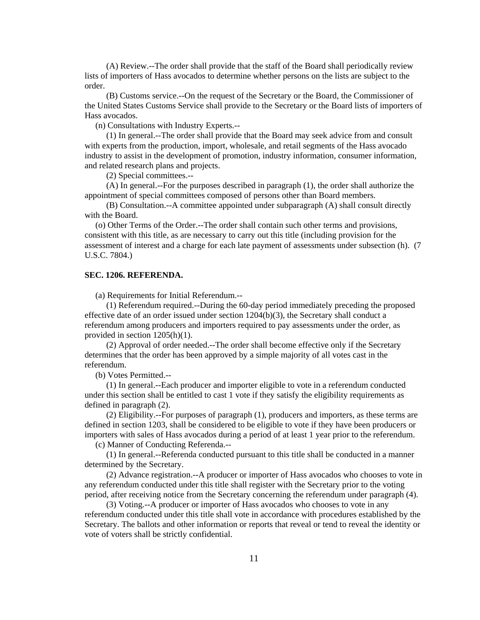(A) Review.--The order shall provide that the staff of the Board shall periodically review lists of importers of Hass avocados to determine whether persons on the lists are subject to the order.

 (B) Customs service.--On the request of the Secretary or the Board, the Commissioner of the United States Customs Service shall provide to the Secretary or the Board lists of importers of Hass avocados.

(n) Consultations with Industry Experts.--

 (1) In general.--The order shall provide that the Board may seek advice from and consult with experts from the production, import, wholesale, and retail segments of the Hass avocado industry to assist in the development of promotion, industry information, consumer information, and related research plans and projects.

(2) Special committees.--

 (A) In general.--For the purposes described in paragraph (1), the order shall authorize the appointment of special committees composed of persons other than Board members.

 (B) Consultation.--A committee appointed under subparagraph (A) shall consult directly with the Board.

 (o) Other Terms of the Order.--The order shall contain such other terms and provisions, consistent with this title, as are necessary to carry out this title (including provision for the assessment of interest and a charge for each late payment of assessments under subsection (h). (7 U.S.C. 7804.)

# **SEC. 1206. REFERENDA.**

(a) Requirements for Initial Referendum.--

 (1) Referendum required.--During the 60-day period immediately preceding the proposed effective date of an order issued under section  $1204(b)(3)$ , the Secretary shall conduct a referendum among producers and importers required to pay assessments under the order, as provided in section 1205(h)(1).

 (2) Approval of order needed.--The order shall become effective only if the Secretary determines that the order has been approved by a simple majority of all votes cast in the referendum.

(b) Votes Permitted.--

 (1) In general.--Each producer and importer eligible to vote in a referendum conducted under this section shall be entitled to cast 1 vote if they satisfy the eligibility requirements as defined in paragraph (2).

 (2) Eligibility.--For purposes of paragraph (1), producers and importers, as these terms are defined in section 1203, shall be considered to be eligible to vote if they have been producers or importers with sales of Hass avocados during a period of at least 1 year prior to the referendum.

(c) Manner of Conducting Referenda.--

 (1) In general.--Referenda conducted pursuant to this title shall be conducted in a manner determined by the Secretary.

 (2) Advance registration.--A producer or importer of Hass avocados who chooses to vote in any referendum conducted under this title shall register with the Secretary prior to the voting period, after receiving notice from the Secretary concerning the referendum under paragraph (4).

 (3) Voting.--A producer or importer of Hass avocados who chooses to vote in any referendum conducted under this title shall vote in accordance with procedures established by the Secretary. The ballots and other information or reports that reveal or tend to reveal the identity or vote of voters shall be strictly confidential.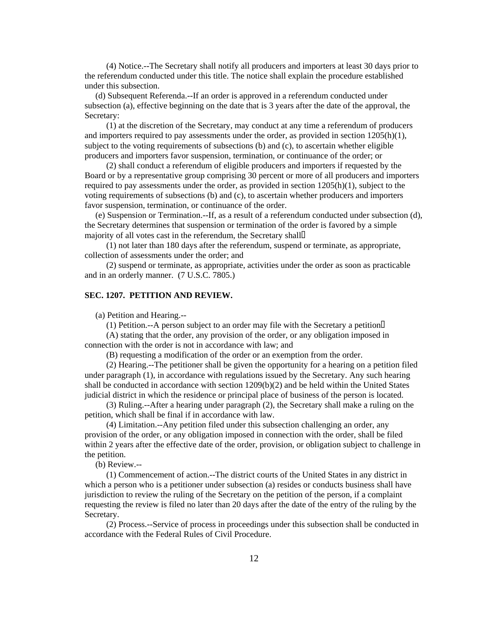(4) Notice.--The Secretary shall notify all producers and importers at least 30 days prior to the referendum conducted under this title. The notice shall explain the procedure established under this subsection.

 (d) Subsequent Referenda.--If an order is approved in a referendum conducted under subsection (a), effective beginning on the date that is 3 years after the date of the approval, the Secretary:

 (1) at the discretion of the Secretary, may conduct at any time a referendum of producers and importers required to pay assessments under the order, as provided in section 1205(h)(1), subject to the voting requirements of subsections (b) and (c), to ascertain whether eligible producers and importers favor suspension, termination, or continuance of the order; or

 (2) shall conduct a referendum of eligible producers and importers if requested by the Board or by a representative group comprising 30 percent or more of all producers and importers required to pay assessments under the order, as provided in section  $1205(h)(1)$ , subject to the voting requirements of subsections (b) and (c), to ascertain whether producers and importers favor suspension, termination, or continuance of the order.

 (e) Suspension or Termination.--If, as a result of a referendum conducted under subsection (d), the Secretary determines that suspension or termination of the order is favored by a simple majority of all votes cast in the referendum, the Secretary shall

 (1) not later than 180 days after the referendum, suspend or terminate, as appropriate, collection of assessments under the order; and

 (2) suspend or terminate, as appropriate, activities under the order as soon as practicable and in an orderly manner. (7 U.S.C. 7805.)

### **SEC. 1207. PETITION AND REVIEW.**

(a) Petition and Hearing.--

(1) Petition.--A person subject to an order may file with the Secretary a petition

 (A) stating that the order, any provision of the order, or any obligation imposed in connection with the order is not in accordance with law; and

(B) requesting a modification of the order or an exemption from the order.

 (2) Hearing.--The petitioner shall be given the opportunity for a hearing on a petition filed under paragraph (1), in accordance with regulations issued by the Secretary. Any such hearing shall be conducted in accordance with section 1209(b)(2) and be held within the United States judicial district in which the residence or principal place of business of the person is located.

 (3) Ruling.--After a hearing under paragraph (2), the Secretary shall make a ruling on the petition, which shall be final if in accordance with law.

 (4) Limitation.--Any petition filed under this subsection challenging an order, any provision of the order, or any obligation imposed in connection with the order, shall be filed within 2 years after the effective date of the order, provision, or obligation subject to challenge in the petition.

(b) Review.--

 (1) Commencement of action.--The district courts of the United States in any district in which a person who is a petitioner under subsection (a) resides or conducts business shall have jurisdiction to review the ruling of the Secretary on the petition of the person, if a complaint requesting the review is filed no later than 20 days after the date of the entry of the ruling by the Secretary.

 (2) Process.--Service of process in proceedings under this subsection shall be conducted in accordance with the Federal Rules of Civil Procedure.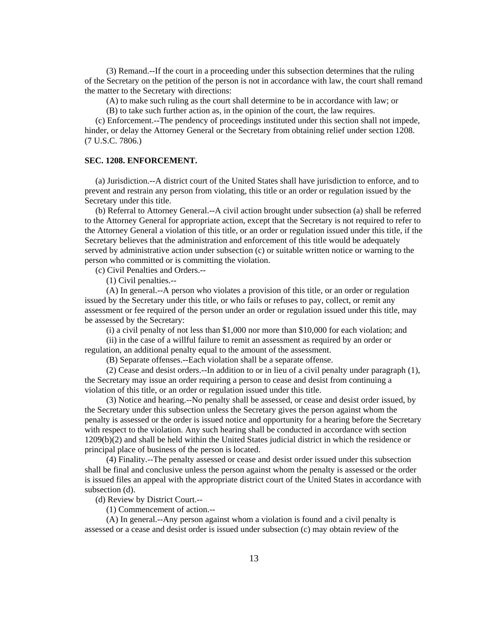(3) Remand.--If the court in a proceeding under this subsection determines that the ruling of the Secretary on the petition of the person is not in accordance with law, the court shall remand the matter to the Secretary with directions:

(A) to make such ruling as the court shall determine to be in accordance with law; or

(B) to take such further action as, in the opinion of the court, the law requires.

 (c) Enforcement.--The pendency of proceedings instituted under this section shall not impede, hinder, or delay the Attorney General or the Secretary from obtaining relief under section 1208. (7 U.S.C. 7806.)

### **SEC. 1208. ENFORCEMENT.**

 (a) Jurisdiction.--A district court of the United States shall have jurisdiction to enforce, and to prevent and restrain any person from violating, this title or an order or regulation issued by the Secretary under this title.

 (b) Referral to Attorney General.--A civil action brought under subsection (a) shall be referred to the Attorney General for appropriate action, except that the Secretary is not required to refer to the Attorney General a violation of this title, or an order or regulation issued under this title, if the Secretary believes that the administration and enforcement of this title would be adequately served by administrative action under subsection (c) or suitable written notice or warning to the person who committed or is committing the violation.

(c) Civil Penalties and Orders.--

(1) Civil penalties.--

 (A) In general.--A person who violates a provision of this title, or an order or regulation issued by the Secretary under this title, or who fails or refuses to pay, collect, or remit any assessment or fee required of the person under an order or regulation issued under this title, may be assessed by the Secretary:

(i) a civil penalty of not less than \$1,000 nor more than \$10,000 for each violation; and

 (ii) in the case of a willful failure to remit an assessment as required by an order or regulation, an additional penalty equal to the amount of the assessment.

(B) Separate offenses.--Each violation shall be a separate offense.

 (2) Cease and desist orders.--In addition to or in lieu of a civil penalty under paragraph (1), the Secretary may issue an order requiring a person to cease and desist from continuing a violation of this title, or an order or regulation issued under this title.

 (3) Notice and hearing.--No penalty shall be assessed, or cease and desist order issued, by the Secretary under this subsection unless the Secretary gives the person against whom the penalty is assessed or the order is issued notice and opportunity for a hearing before the Secretary with respect to the violation. Any such hearing shall be conducted in accordance with section 1209(b)(2) and shall be held within the United States judicial district in which the residence or principal place of business of the person is located.

 (4) Finality.--The penalty assessed or cease and desist order issued under this subsection shall be final and conclusive unless the person against whom the penalty is assessed or the order is issued files an appeal with the appropriate district court of the United States in accordance with subsection (d).

(d) Review by District Court.--

(1) Commencement of action.--

 (A) In general.--Any person against whom a violation is found and a civil penalty is assessed or a cease and desist order is issued under subsection (c) may obtain review of the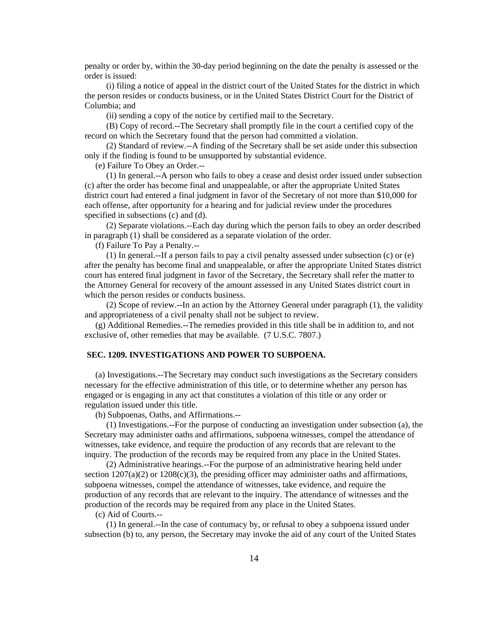penalty or order by, within the 30-day period beginning on the date the penalty is assessed or the order is issued:

 (i) filing a notice of appeal in the district court of the United States for the district in which the person resides or conducts business, or in the United States District Court for the District of Columbia; and

(ii) sending a copy of the notice by certified mail to the Secretary.

 (B) Copy of record.--The Secretary shall promptly file in the court a certified copy of the record on which the Secretary found that the person had committed a violation.

 (2) Standard of review.--A finding of the Secretary shall be set aside under this subsection only if the finding is found to be unsupported by substantial evidence.

(e) Failure To Obey an Order.--

 (1) In general.--A person who fails to obey a cease and desist order issued under subsection (c) after the order has become final and unappealable, or after the appropriate United States district court had entered a final judgment in favor of the Secretary of not more than \$10,000 for each offense, after opportunity for a hearing and for judicial review under the procedures specified in subsections (c) and (d).

 (2) Separate violations.--Each day during which the person fails to obey an order described in paragraph (1) shall be considered as a separate violation of the order.

(f) Failure To Pay a Penalty.--

 (1) In general.--If a person fails to pay a civil penalty assessed under subsection (c) or (e) after the penalty has become final and unappealable, or after the appropriate United States district court has entered final judgment in favor of the Secretary, the Secretary shall refer the matter to the Attorney General for recovery of the amount assessed in any United States district court in which the person resides or conducts business.

 (2) Scope of review.--In an action by the Attorney General under paragraph (1), the validity and appropriateness of a civil penalty shall not be subject to review.

 (g) Additional Remedies.--The remedies provided in this title shall be in addition to, and not exclusive of, other remedies that may be available. (7 U.S.C. 7807.)

# **SEC. 1209. INVESTIGATIONS AND POWER TO SUBPOENA.**

 (a) Investigations.--The Secretary may conduct such investigations as the Secretary considers necessary for the effective administration of this title, or to determine whether any person has engaged or is engaging in any act that constitutes a violation of this title or any order or regulation issued under this title.

(b) Subpoenas, Oaths, and Affirmations.--

 (1) Investigations.--For the purpose of conducting an investigation under subsection (a), the Secretary may administer oaths and affirmations, subpoena witnesses, compel the attendance of witnesses, take evidence, and require the production of any records that are relevant to the inquiry. The production of the records may be required from any place in the United States.

 (2) Administrative hearings.--For the purpose of an administrative hearing held under section  $1207(a)(2)$  or  $1208(c)(3)$ , the presiding officer may administer oaths and affirmations, subpoena witnesses, compel the attendance of witnesses, take evidence, and require the production of any records that are relevant to the inquiry. The attendance of witnesses and the production of the records may be required from any place in the United States.

(c) Aid of Courts.--

 (1) In general.--In the case of contumacy by, or refusal to obey a subpoena issued under subsection (b) to, any person, the Secretary may invoke the aid of any court of the United States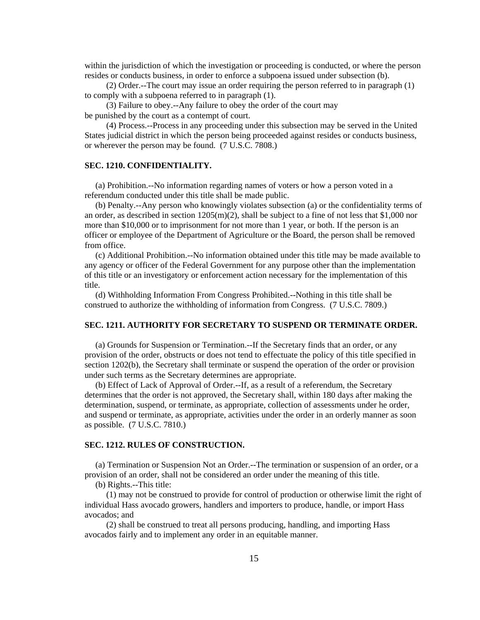within the jurisdiction of which the investigation or proceeding is conducted, or where the person resides or conducts business, in order to enforce a subpoena issued under subsection (b).

 (2) Order.--The court may issue an order requiring the person referred to in paragraph (1) to comply with a subpoena referred to in paragraph (1).

 (3) Failure to obey.--Any failure to obey the order of the court may be punished by the court as a contempt of court.

 (4) Process.--Process in any proceeding under this subsection may be served in the United States judicial district in which the person being proceeded against resides or conducts business, or wherever the person may be found. (7 U.S.C. 7808.)

### **SEC. 1210. CONFIDENTIALITY.**

 (a) Prohibition.--No information regarding names of voters or how a person voted in a referendum conducted under this title shall be made public.

 (b) Penalty.--Any person who knowingly violates subsection (a) or the confidentiality terms of an order, as described in section 1205(m)(2), shall be subject to a fine of not less that \$1,000 nor more than \$10,000 or to imprisonment for not more than 1 year, or both. If the person is an officer or employee of the Department of Agriculture or the Board, the person shall be removed from office.

 (c) Additional Prohibition.--No information obtained under this title may be made available to any agency or officer of the Federal Government for any purpose other than the implementation of this title or an investigatory or enforcement action necessary for the implementation of this title.

 (d) Withholding Information From Congress Prohibited.--Nothing in this title shall be construed to authorize the withholding of information from Congress. (7 U.S.C. 7809.)

#### **SEC. 1211. AUTHORITY FOR SECRETARY TO SUSPEND OR TERMINATE ORDER.**

 (a) Grounds for Suspension or Termination.--If the Secretary finds that an order, or any provision of the order, obstructs or does not tend to effectuate the policy of this title specified in section 1202(b), the Secretary shall terminate or suspend the operation of the order or provision under such terms as the Secretary determines are appropriate.

 (b) Effect of Lack of Approval of Order.--If, as a result of a referendum, the Secretary determines that the order is not approved, the Secretary shall, within 180 days after making the determination, suspend, or terminate, as appropriate, collection of assessments under he order, and suspend or terminate, as appropriate, activities under the order in an orderly manner as soon as possible. (7 U.S.C. 7810.)

## **SEC. 1212. RULES OF CONSTRUCTION.**

 (a) Termination or Suspension Not an Order.--The termination or suspension of an order, or a provision of an order, shall not be considered an order under the meaning of this title.

(b) Rights.--This title:

 (1) may not be construed to provide for control of production or otherwise limit the right of individual Hass avocado growers, handlers and importers to produce, handle, or import Hass avocados; and

 (2) shall be construed to treat all persons producing, handling, and importing Hass avocados fairly and to implement any order in an equitable manner.